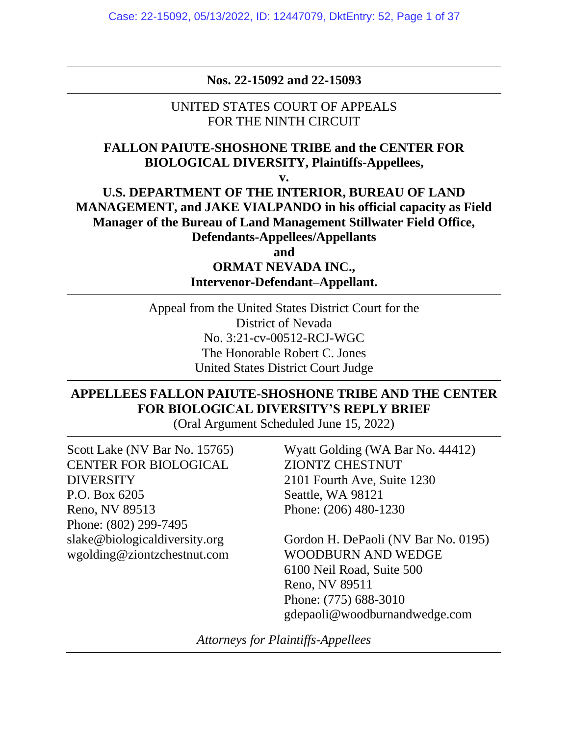**Nos. 22-15092 and 22-15093**

UNITED STATES COURT OF APPEALS FOR THE NINTH CIRCUIT

## **FALLON PAIUTE-SHOSHONE TRIBE and the CENTER FOR BIOLOGICAL DIVERSITY, Plaintiffs-Appellees,**

**v.**

**U.S. DEPARTMENT OF THE INTERIOR, BUREAU OF LAND MANAGEMENT, and JAKE VIALPANDO in his official capacity as Field Manager of the Bureau of Land Management Stillwater Field Office, Defendants-Appellees/Appellants**

**and**

**ORMAT NEVADA INC., Intervenor-Defendant–Appellant.**

Appeal from the United States District Court for the District of Nevada No. 3:21-cv-00512-RCJ-WGC The Honorable Robert C. Jones United States District Court Judge

## **APPELLEES FALLON PAIUTE-SHOSHONE TRIBE AND THE CENTER FOR BIOLOGICAL DIVERSITY'S REPLY BRIEF**

(Oral Argument Scheduled June 15, 2022)

Scott Lake (NV Bar No. 15765) CENTER FOR BIOLOGICAL DIVERSITY P.O. Box 6205 Reno, NV 89513 Phone: (802) 299-7495 slake@biologicaldiversity.org wgolding@ziontzchestnut.com

Wyatt Golding (WA Bar No. 44412) ZIONTZ CHESTNUT 2101 Fourth Ave, Suite 1230 Seattle, WA 98121 Phone: (206) 480-1230

Gordon H. DePaoli (NV Bar No. 0195) WOODBURN AND WEDGE 6100 Neil Road, Suite 500 Reno, NV 89511 Phone: (775) 688-3010 gdepaoli@woodburnandwedge.com

*Attorneys for Plaintiffs-Appellees*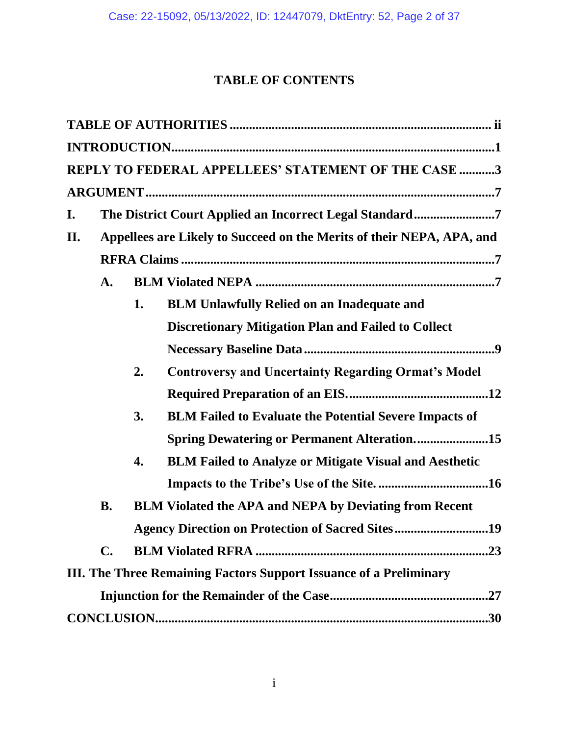# **TABLE OF CONTENTS**

|    |                                                                       |    | REPLY TO FEDERAL APPELLEES' STATEMENT OF THE CASE 3                |  |  |  |  |  |
|----|-----------------------------------------------------------------------|----|--------------------------------------------------------------------|--|--|--|--|--|
|    |                                                                       |    |                                                                    |  |  |  |  |  |
| I. |                                                                       |    |                                                                    |  |  |  |  |  |
| П. | Appellees are Likely to Succeed on the Merits of their NEPA, APA, and |    |                                                                    |  |  |  |  |  |
|    |                                                                       |    |                                                                    |  |  |  |  |  |
|    | A.                                                                    |    |                                                                    |  |  |  |  |  |
|    |                                                                       | 1. | <b>BLM Unlawfully Relied on an Inadequate and</b>                  |  |  |  |  |  |
|    |                                                                       |    | <b>Discretionary Mitigation Plan and Failed to Collect</b>         |  |  |  |  |  |
|    |                                                                       |    |                                                                    |  |  |  |  |  |
|    |                                                                       | 2. | <b>Controversy and Uncertainty Regarding Ormat's Model</b>         |  |  |  |  |  |
|    |                                                                       |    |                                                                    |  |  |  |  |  |
|    |                                                                       | 3. | <b>BLM Failed to Evaluate the Potential Severe Impacts of</b>      |  |  |  |  |  |
|    |                                                                       |    | <b>Spring Dewatering or Permanent Alteration</b> 15                |  |  |  |  |  |
|    |                                                                       | 4. | <b>BLM Failed to Analyze or Mitigate Visual and Aesthetic</b>      |  |  |  |  |  |
|    |                                                                       |    |                                                                    |  |  |  |  |  |
|    | <b>B.</b>                                                             |    | <b>BLM Violated the APA and NEPA by Deviating from Recent</b>      |  |  |  |  |  |
|    |                                                                       |    | <b>Agency Direction on Protection of Sacred Sites19</b>            |  |  |  |  |  |
|    | $\mathbf{C}$ .                                                        |    |                                                                    |  |  |  |  |  |
|    |                                                                       |    | III. The Three Remaining Factors Support Issuance of a Preliminary |  |  |  |  |  |
|    |                                                                       |    |                                                                    |  |  |  |  |  |
|    |                                                                       |    | .30                                                                |  |  |  |  |  |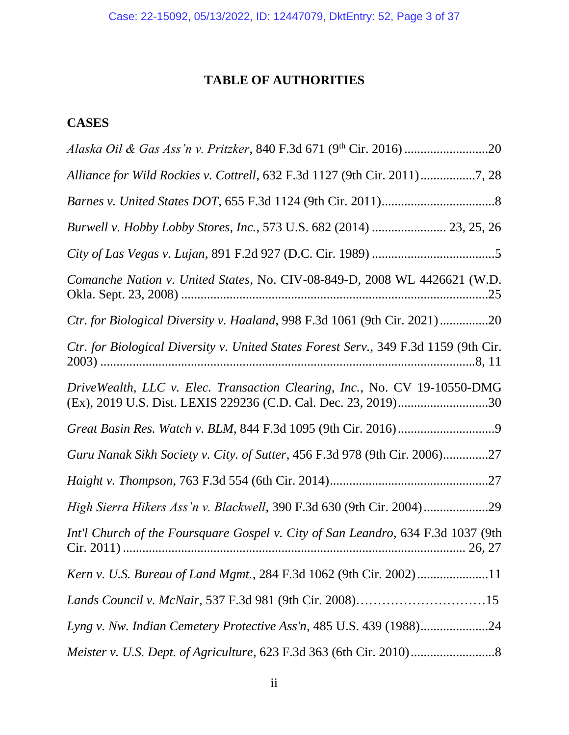# **TABLE OF AUTHORITIES**

# **CASES**

| Alliance for Wild Rockies v. Cottrell, 632 F.3d 1127 (9th Cir. 2011)7, 28                                                                   |
|---------------------------------------------------------------------------------------------------------------------------------------------|
|                                                                                                                                             |
| Burwell v. Hobby Lobby Stores, Inc., 573 U.S. 682 (2014)  23, 25, 26                                                                        |
|                                                                                                                                             |
| Comanche Nation v. United States, No. CIV-08-849-D, 2008 WL 4426621 (W.D.                                                                   |
| Ctr. for Biological Diversity v. Haaland, 998 F.3d 1061 (9th Cir. 2021) 20                                                                  |
| Ctr. for Biological Diversity v. United States Forest Serv., 349 F.3d 1159 (9th Cir.                                                        |
| DriveWealth, LLC v. Elec. Transaction Clearing, Inc., No. CV 19-10550-DMG<br>(Ex), 2019 U.S. Dist. LEXIS 229236 (C.D. Cal. Dec. 23, 2019)30 |
|                                                                                                                                             |
| Guru Nanak Sikh Society v. City. of Sutter, 456 F.3d 978 (9th Cir. 2006)27                                                                  |
|                                                                                                                                             |
|                                                                                                                                             |
| Int'l Church of the Foursquare Gospel v. City of San Leandro, 634 F.3d 1037 (9th                                                            |
| Kern v. U.S. Bureau of Land Mgmt., 284 F.3d 1062 (9th Cir. 2002)11                                                                          |
| Lands Council v. McNair, 537 F.3d 981 (9th Cir. 2008)15                                                                                     |
| Lyng v. Nw. Indian Cemetery Protective Ass'n, 485 U.S. 439 (1988)24                                                                         |
|                                                                                                                                             |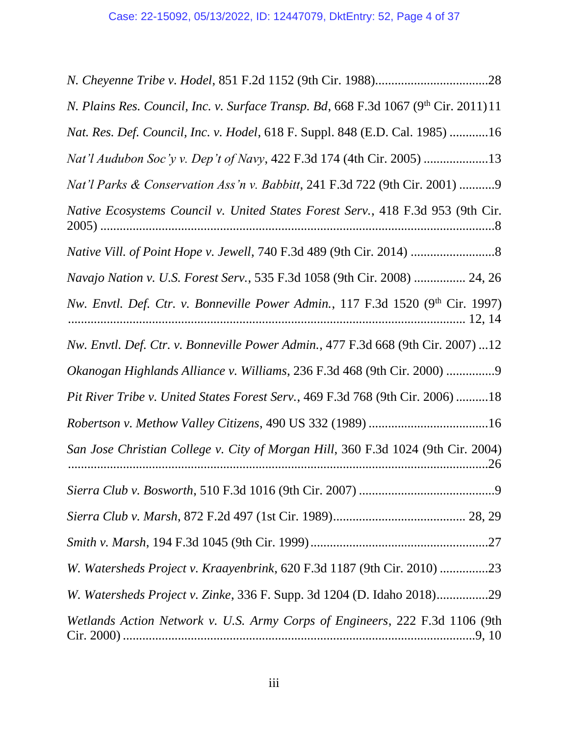| N. Plains Res. Council, Inc. v. Surface Transp. Bd, 668 F.3d 1067 (9th Cir. 2011) 11       |
|--------------------------------------------------------------------------------------------|
| Nat. Res. Def. Council, Inc. v. Hodel, 618 F. Suppl. 848 (E.D. Cal. 1985) 16               |
| Nat'l Audubon Soc'y v. Dep't of Navy, 422 F.3d 174 (4th Cir. 2005) 13                      |
| Nat'l Parks & Conservation Ass'n v. Babbitt, 241 F.3d 722 (9th Cir. 2001) 9                |
| Native Ecosystems Council v. United States Forest Serv., 418 F.3d 953 (9th Cir.            |
|                                                                                            |
| Navajo Nation v. U.S. Forest Serv., 535 F.3d 1058 (9th Cir. 2008)  24, 26                  |
| Nw. Envtl. Def. Ctr. v. Bonneville Power Admin., 117 F.3d 1520 (9 <sup>th</sup> Cir. 1997) |
| Nw. Envtl. Def. Ctr. v. Bonneville Power Admin., 477 F.3d 668 (9th Cir. 2007) 12           |
| Okanogan Highlands Alliance v. Williams, 236 F.3d 468 (9th Cir. 2000) 9                    |
| Pit River Tribe v. United States Forest Serv., 469 F.3d 768 (9th Cir. 2006) 18             |
|                                                                                            |
| San Jose Christian College v. City of Morgan Hill, 360 F.3d 1024 (9th Cir. 2004)           |
|                                                                                            |
|                                                                                            |
|                                                                                            |
| W. Watersheds Project v. Kraayenbrink, 620 F.3d 1187 (9th Cir. 2010) 23                    |
| W. Watersheds Project v. Zinke, 336 F. Supp. 3d 1204 (D. Idaho 2018)29                     |
| Wetlands Action Network v. U.S. Army Corps of Engineers, 222 F.3d 1106 (9th                |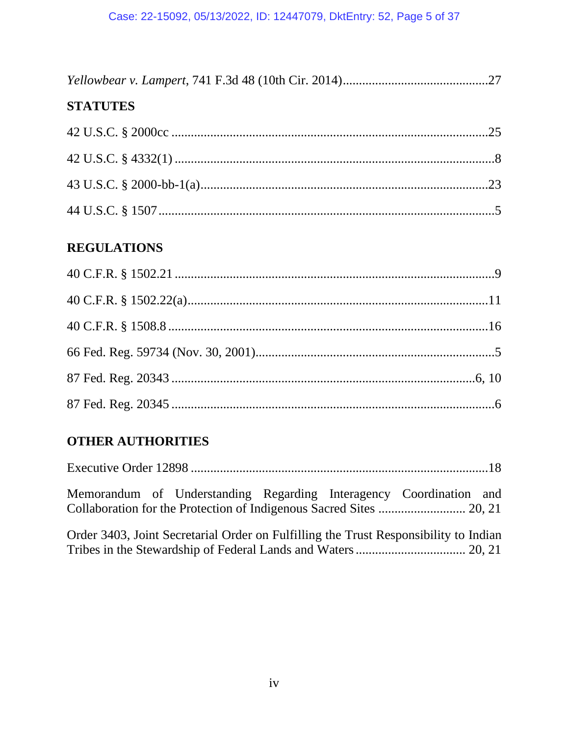## **STATUTES**

## **REGULATIONS**

## **OTHER AUTHORITIES**

| Memorandum of Understanding Regarding Interagency Coordination and                   |
|--------------------------------------------------------------------------------------|
| Order 3403, Joint Secretarial Order on Fulfilling the Trust Responsibility to Indian |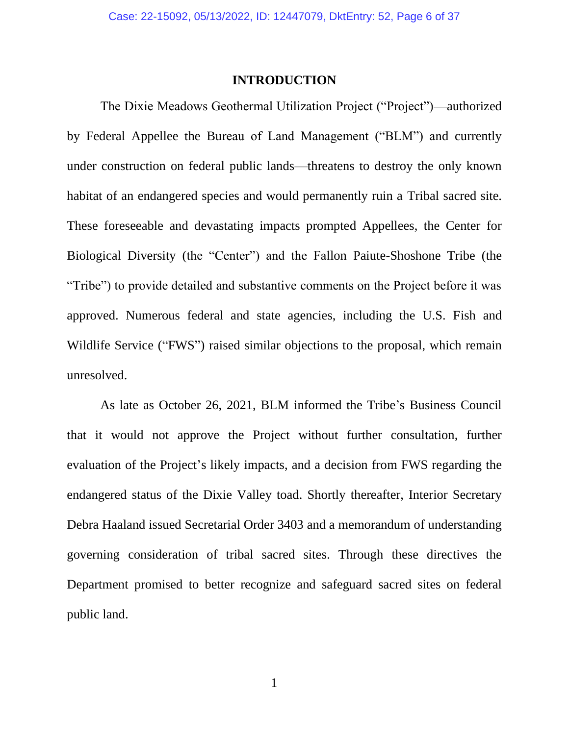#### **INTRODUCTION**

The Dixie Meadows Geothermal Utilization Project ("Project")—authorized by Federal Appellee the Bureau of Land Management ("BLM") and currently under construction on federal public lands—threatens to destroy the only known habitat of an endangered species and would permanently ruin a Tribal sacred site. These foreseeable and devastating impacts prompted Appellees, the Center for Biological Diversity (the "Center") and the Fallon Paiute-Shoshone Tribe (the "Tribe") to provide detailed and substantive comments on the Project before it was approved. Numerous federal and state agencies, including the U.S. Fish and Wildlife Service ("FWS") raised similar objections to the proposal, which remain unresolved.

As late as October 26, 2021, BLM informed the Tribe's Business Council that it would not approve the Project without further consultation, further evaluation of the Project's likely impacts, and a decision from FWS regarding the endangered status of the Dixie Valley toad. Shortly thereafter, Interior Secretary Debra Haaland issued Secretarial Order 3403 and a memorandum of understanding governing consideration of tribal sacred sites. Through these directives the Department promised to better recognize and safeguard sacred sites on federal public land.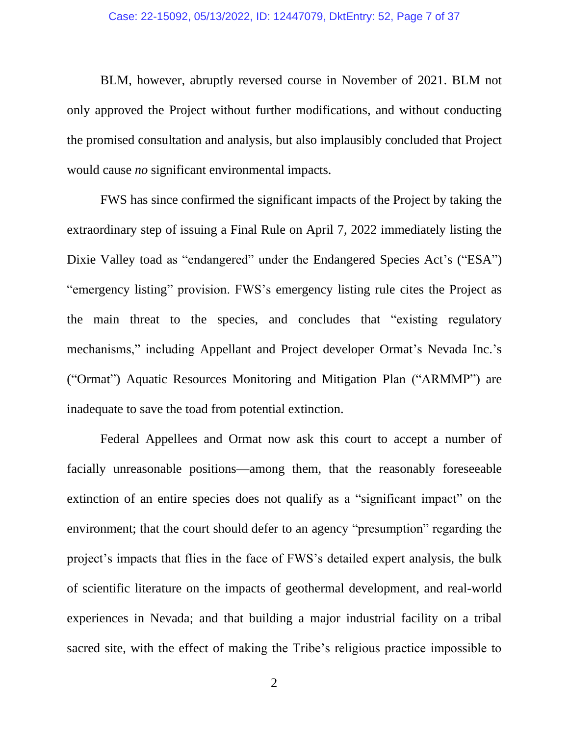BLM, however, abruptly reversed course in November of 2021. BLM not only approved the Project without further modifications, and without conducting the promised consultation and analysis, but also implausibly concluded that Project would cause *no* significant environmental impacts.

FWS has since confirmed the significant impacts of the Project by taking the extraordinary step of issuing a Final Rule on April 7, 2022 immediately listing the Dixie Valley toad as "endangered" under the Endangered Species Act's ("ESA") "emergency listing" provision. FWS's emergency listing rule cites the Project as the main threat to the species, and concludes that "existing regulatory mechanisms," including Appellant and Project developer Ormat's Nevada Inc.'s ("Ormat") Aquatic Resources Monitoring and Mitigation Plan ("ARMMP") are inadequate to save the toad from potential extinction.

Federal Appellees and Ormat now ask this court to accept a number of facially unreasonable positions—among them, that the reasonably foreseeable extinction of an entire species does not qualify as a "significant impact" on the environment; that the court should defer to an agency "presumption" regarding the project's impacts that flies in the face of FWS's detailed expert analysis, the bulk of scientific literature on the impacts of geothermal development, and real-world experiences in Nevada; and that building a major industrial facility on a tribal sacred site, with the effect of making the Tribe's religious practice impossible to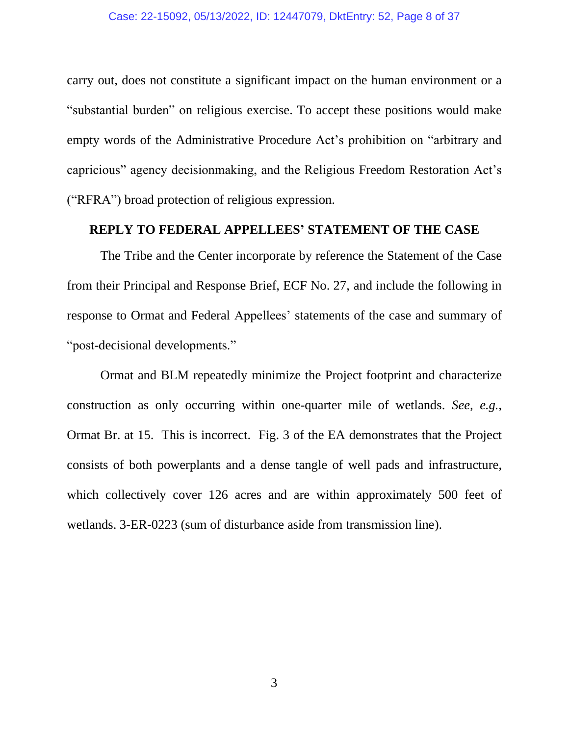carry out, does not constitute a significant impact on the human environment or a "substantial burden" on religious exercise. To accept these positions would make empty words of the Administrative Procedure Act's prohibition on "arbitrary and capricious" agency decisionmaking, and the Religious Freedom Restoration Act's ("RFRA") broad protection of religious expression.

### **REPLY TO FEDERAL APPELLEES' STATEMENT OF THE CASE**

The Tribe and the Center incorporate by reference the Statement of the Case from their Principal and Response Brief, ECF No. 27, and include the following in response to Ormat and Federal Appellees' statements of the case and summary of "post-decisional developments."

Ormat and BLM repeatedly minimize the Project footprint and characterize construction as only occurring within one-quarter mile of wetlands. *See, e.g.*, Ormat Br. at 15. This is incorrect. Fig. 3 of the EA demonstrates that the Project consists of both powerplants and a dense tangle of well pads and infrastructure, which collectively cover 126 acres and are within approximately 500 feet of wetlands. 3-ER-0223 (sum of disturbance aside from transmission line).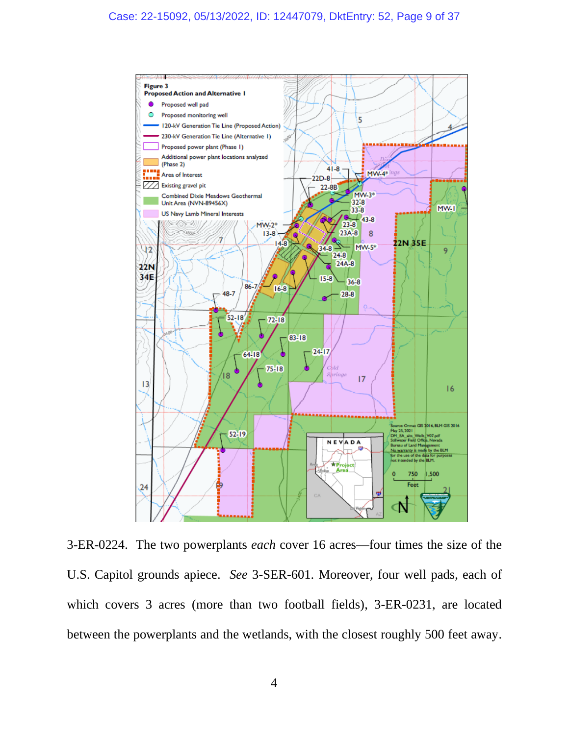

3-ER-0224. The two powerplants *each* cover 16 acres—four times the size of the U.S. Capitol grounds apiece. *See* 3-SER-601. Moreover, four well pads, each of which covers 3 acres (more than two football fields), 3-ER-0231, are located between the powerplants and the wetlands, with the closest roughly 500 feet away.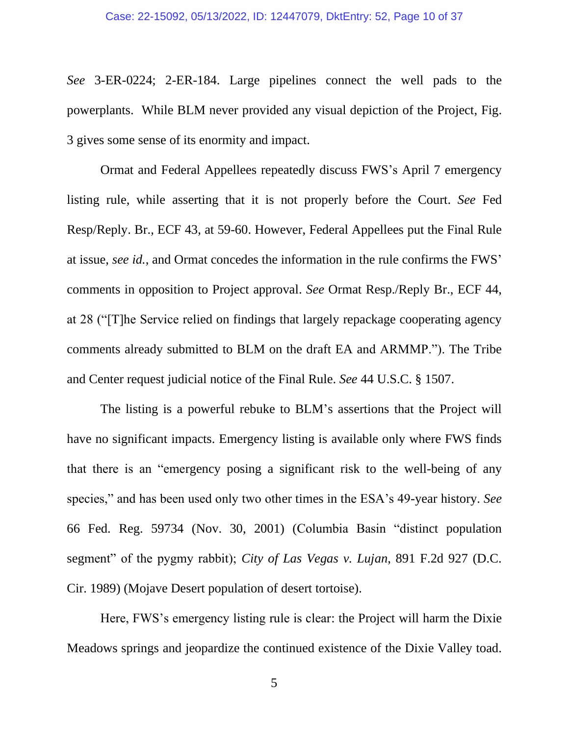*See* 3-ER-0224; 2-ER-184. Large pipelines connect the well pads to the powerplants. While BLM never provided any visual depiction of the Project, Fig. 3 gives some sense of its enormity and impact.

Ormat and Federal Appellees repeatedly discuss FWS's April 7 emergency listing rule, while asserting that it is not properly before the Court. *See* Fed Resp/Reply. Br., ECF 43, at 59-60. However, Federal Appellees put the Final Rule at issue, *see id.*, and Ormat concedes the information in the rule confirms the FWS' comments in opposition to Project approval. *See* Ormat Resp./Reply Br., ECF 44, at 28 ("[T]he Service relied on findings that largely repackage cooperating agency comments already submitted to BLM on the draft EA and ARMMP."). The Tribe and Center request judicial notice of the Final Rule. *See* 44 U.S.C. § 1507.

The listing is a powerful rebuke to BLM's assertions that the Project will have no significant impacts. Emergency listing is available only where FWS finds that there is an "emergency posing a significant risk to the well-being of any species," and has been used only two other times in the ESA's 49-year history. *See* 66 Fed. Reg. 59734 (Nov. 30, 2001) (Columbia Basin "distinct population segment" of the pygmy rabbit); *City of Las Vegas v. Lujan*, 891 F.2d 927 (D.C. Cir. 1989) (Mojave Desert population of desert tortoise).

Here, FWS's emergency listing rule is clear: the Project will harm the Dixie Meadows springs and jeopardize the continued existence of the Dixie Valley toad.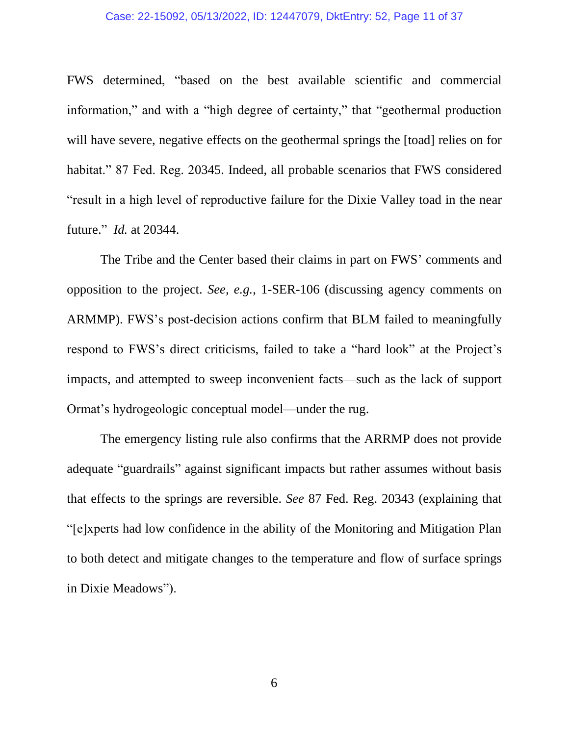#### Case: 22-15092, 05/13/2022, ID: 12447079, DktEntry: 52, Page 11 of 37

FWS determined, "based on the best available scientific and commercial information," and with a "high degree of certainty," that "geothermal production will have severe, negative effects on the geothermal springs the [toad] relies on for habitat." 87 Fed. Reg. 20345. Indeed, all probable scenarios that FWS considered "result in a high level of reproductive failure for the Dixie Valley toad in the near future." *Id.* at 20344.

The Tribe and the Center based their claims in part on FWS' comments and opposition to the project. *See, e.g.*, 1-SER-106 (discussing agency comments on ARMMP). FWS's post-decision actions confirm that BLM failed to meaningfully respond to FWS's direct criticisms, failed to take a "hard look" at the Project's impacts, and attempted to sweep inconvenient facts—such as the lack of support Ormat's hydrogeologic conceptual model—under the rug.

The emergency listing rule also confirms that the ARRMP does not provide adequate "guardrails" against significant impacts but rather assumes without basis that effects to the springs are reversible. *See* 87 Fed. Reg. 20343 (explaining that "[e]xperts had low confidence in the ability of the Monitoring and Mitigation Plan to both detect and mitigate changes to the temperature and flow of surface springs in Dixie Meadows").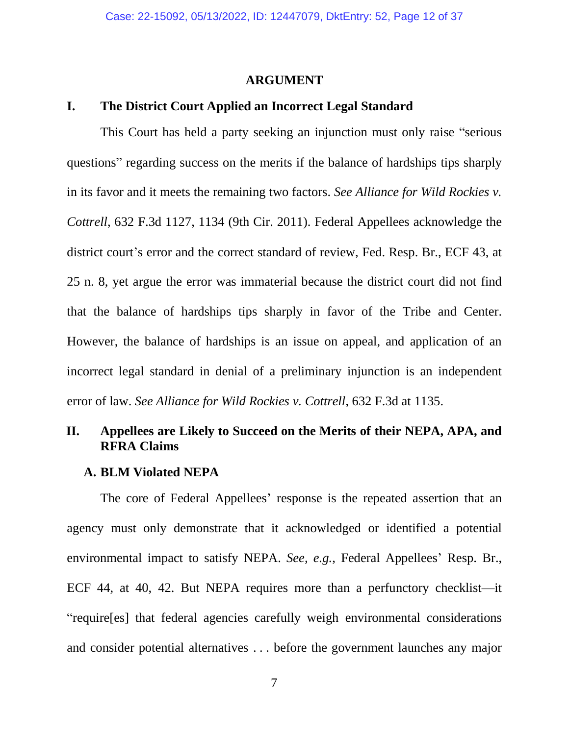#### **ARGUMENT**

### **I. The District Court Applied an Incorrect Legal Standard**

This Court has held a party seeking an injunction must only raise "serious questions" regarding success on the merits if the balance of hardships tips sharply in its favor and it meets the remaining two factors. *See Alliance for Wild Rockies v. Cottrell*, 632 F.3d 1127, 1134 (9th Cir. 2011). Federal Appellees acknowledge the district court's error and the correct standard of review, Fed. Resp. Br., ECF 43, at 25 n. 8, yet argue the error was immaterial because the district court did not find that the balance of hardships tips sharply in favor of the Tribe and Center. However, the balance of hardships is an issue on appeal, and application of an incorrect legal standard in denial of a preliminary injunction is an independent error of law. *See Alliance for Wild Rockies v. Cottrell*, 632 F.3d at 1135.

## **II. Appellees are Likely to Succeed on the Merits of their NEPA, APA, and RFRA Claims**

#### **A. BLM Violated NEPA**

The core of Federal Appellees' response is the repeated assertion that an agency must only demonstrate that it acknowledged or identified a potential environmental impact to satisfy NEPA. *See, e.g.*, Federal Appellees' Resp. Br., ECF 44, at 40, 42. But NEPA requires more than a perfunctory checklist—it "require[es] that federal agencies carefully weigh environmental considerations and consider potential alternatives . . . before the government launches any major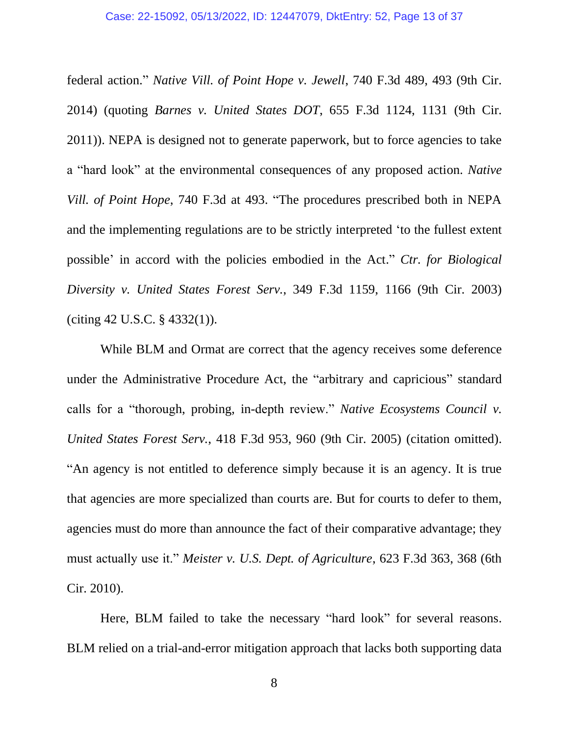#### Case: 22-15092, 05/13/2022, ID: 12447079, DktEntry: 52, Page 13 of 37

federal action." *Native Vill. of Point Hope v. Jewell*, 740 F.3d 489, 493 (9th Cir. 2014) (quoting *Barnes v. United States DOT*, 655 F.3d 1124, 1131 (9th Cir. 2011)). NEPA is designed not to generate paperwork, but to force agencies to take a "hard look" at the environmental consequences of any proposed action. *Native Vill. of Point Hope*, 740 F.3d at 493. "The procedures prescribed both in NEPA and the implementing regulations are to be strictly interpreted 'to the fullest extent possible' in accord with the policies embodied in the Act." *Ctr. for Biological Diversity v. United States Forest Serv.*, 349 F.3d 1159, 1166 (9th Cir. 2003) (citing 42 U.S.C. § 4332(1)).

While BLM and Ormat are correct that the agency receives some deference under the Administrative Procedure Act, the "arbitrary and capricious" standard calls for a "thorough, probing, in-depth review." *Native Ecosystems Council v. United States Forest Serv.*, 418 F.3d 953, 960 (9th Cir. 2005) (citation omitted). "An agency is not entitled to deference simply because it is an agency. It is true that agencies are more specialized than courts are. But for courts to defer to them, agencies must do more than announce the fact of their comparative advantage; they must actually use it." *Meister v. U.S. Dept. of Agriculture*, 623 F.3d 363, 368 (6th Cir. 2010).

Here, BLM failed to take the necessary "hard look" for several reasons. BLM relied on a trial-and-error mitigation approach that lacks both supporting data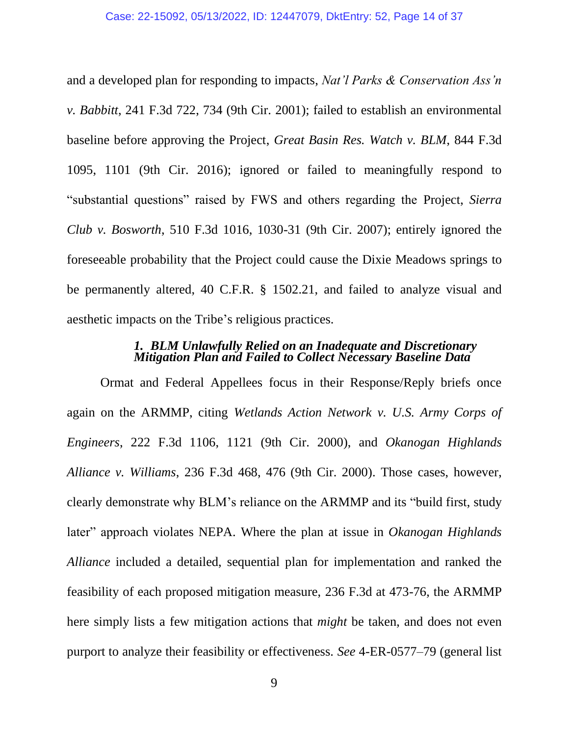and a developed plan for responding to impacts, *Nat'l Parks & Conservation Ass'n v. Babbitt*, 241 F.3d 722, 734 (9th Cir. 2001); failed to establish an environmental baseline before approving the Project, *Great Basin Res. Watch v. BLM*, 844 F.3d 1095, 1101 (9th Cir. 2016); ignored or failed to meaningfully respond to "substantial questions" raised by FWS and others regarding the Project, *Sierra Club v. Bosworth*, 510 F.3d 1016, 1030-31 (9th Cir. 2007); entirely ignored the foreseeable probability that the Project could cause the Dixie Meadows springs to be permanently altered, 40 C.F.R. § 1502.21, and failed to analyze visual and aesthetic impacts on the Tribe's religious practices.

### *1. BLM Unlawfully Relied on an Inadequate and Discretionary Mitigation Plan and Failed to Collect Necessary Baseline Data*

Ormat and Federal Appellees focus in their Response/Reply briefs once again on the ARMMP, citing *Wetlands Action Network v. U.S. Army Corps of Engineers*, 222 F.3d 1106, 1121 (9th Cir. 2000), and *Okanogan Highlands Alliance v. Williams*, 236 F.3d 468, 476 (9th Cir. 2000). Those cases, however, clearly demonstrate why BLM's reliance on the ARMMP and its "build first, study later" approach violates NEPA. Where the plan at issue in *Okanogan Highlands Alliance* included a detailed, sequential plan for implementation and ranked the feasibility of each proposed mitigation measure, 236 F.3d at 473-76, the ARMMP here simply lists a few mitigation actions that *might* be taken, and does not even purport to analyze their feasibility or effectiveness. *See* 4-ER-0577–79 (general list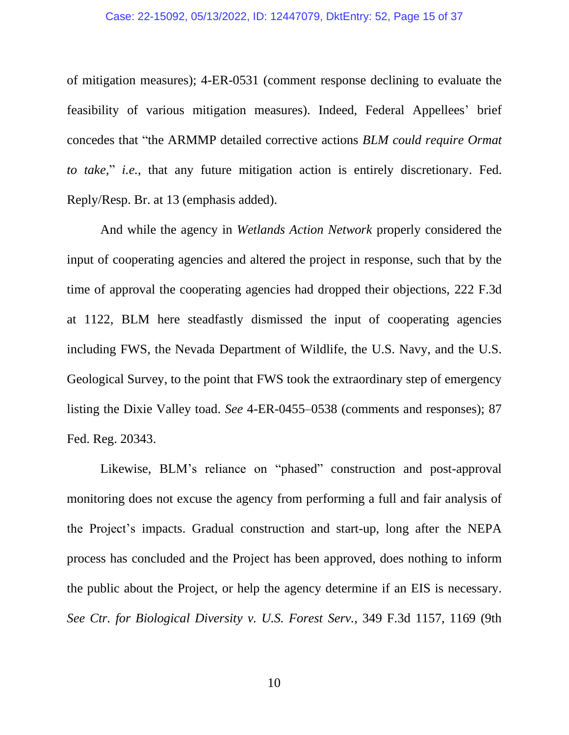of mitigation measures); 4-ER-0531 (comment response declining to evaluate the feasibility of various mitigation measures). Indeed, Federal Appellees' brief concedes that "the ARMMP detailed corrective actions *BLM could require Ormat to take,*" *i.e.*, that any future mitigation action is entirely discretionary. Fed. Reply/Resp. Br. at 13 (emphasis added).

And while the agency in *Wetlands Action Network* properly considered the input of cooperating agencies and altered the project in response, such that by the time of approval the cooperating agencies had dropped their objections, 222 F.3d at 1122, BLM here steadfastly dismissed the input of cooperating agencies including FWS, the Nevada Department of Wildlife, the U.S. Navy, and the U.S. Geological Survey, to the point that FWS took the extraordinary step of emergency listing the Dixie Valley toad. *See* 4-ER-0455–0538 (comments and responses); 87 Fed. Reg. 20343.

Likewise, BLM's reliance on "phased" construction and post-approval monitoring does not excuse the agency from performing a full and fair analysis of the Project's impacts. Gradual construction and start-up, long after the NEPA process has concluded and the Project has been approved, does nothing to inform the public about the Project, or help the agency determine if an EIS is necessary. *See Ctr. for Biological Diversity v. U.S. Forest Serv.*, 349 F.3d 1157, 1169 (9th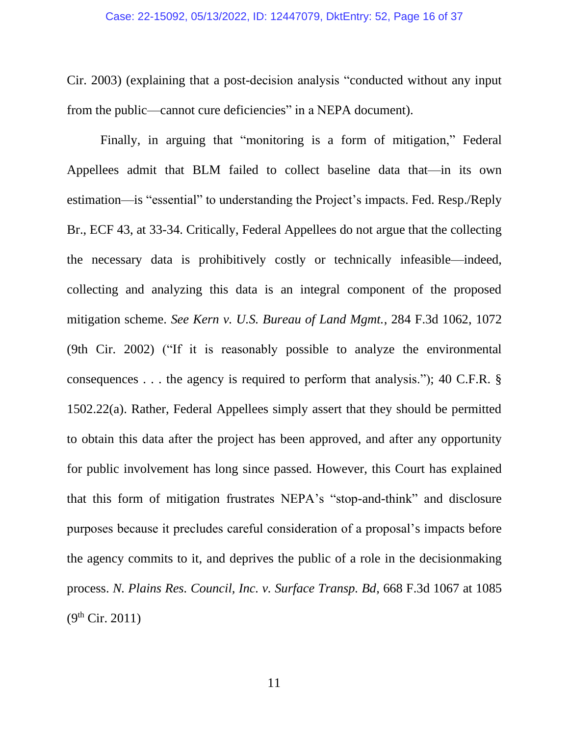Cir. 2003) (explaining that a post-decision analysis "conducted without any input from the public—cannot cure deficiencies" in a NEPA document).

Finally, in arguing that "monitoring is a form of mitigation," Federal Appellees admit that BLM failed to collect baseline data that—in its own estimation—is "essential" to understanding the Project's impacts. Fed. Resp./Reply Br., ECF 43, at 33-34. Critically, Federal Appellees do not argue that the collecting the necessary data is prohibitively costly or technically infeasible—indeed, collecting and analyzing this data is an integral component of the proposed mitigation scheme. *See Kern v. U.S. Bureau of Land Mgmt.*, 284 F.3d 1062, 1072 (9th Cir. 2002) ("If it is reasonably possible to analyze the environmental consequences . . . the agency is required to perform that analysis."); 40 C.F.R. § 1502.22(a). Rather, Federal Appellees simply assert that they should be permitted to obtain this data after the project has been approved, and after any opportunity for public involvement has long since passed. However, this Court has explained that this form of mitigation frustrates NEPA's "stop-and-think" and disclosure purposes because it precludes careful consideration of a proposal's impacts before the agency commits to it, and deprives the public of a role in the decisionmaking process. *N. Plains Res. Council, Inc. v. Surface Transp. Bd*, 668 F.3d 1067 at 1085  $(9^{th}$  Cir. 2011)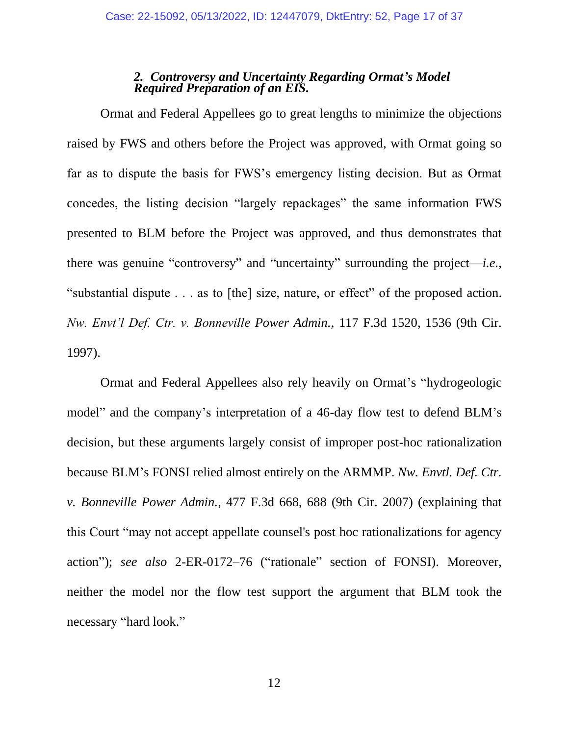### *2. Controversy and Uncertainty Regarding Ormat's Model Required Preparation of an EIS.*

Ormat and Federal Appellees go to great lengths to minimize the objections raised by FWS and others before the Project was approved, with Ormat going so far as to dispute the basis for FWS's emergency listing decision. But as Ormat concedes, the listing decision "largely repackages" the same information FWS presented to BLM before the Project was approved, and thus demonstrates that there was genuine "controversy" and "uncertainty" surrounding the project—*i.e.*, "substantial dispute . . . as to [the] size, nature, or effect" of the proposed action. *Nw. Envt'l Def. Ctr. v. Bonneville Power Admin.*, 117 F.3d 1520, 1536 (9th Cir. 1997).

Ormat and Federal Appellees also rely heavily on Ormat's "hydrogeologic model" and the company's interpretation of a 46-day flow test to defend BLM's decision, but these arguments largely consist of improper post-hoc rationalization because BLM's FONSI relied almost entirely on the ARMMP. *Nw. Envtl. Def. Ctr. v. Bonneville Power Admin.*, 477 F.3d 668, 688 (9th Cir. 2007) (explaining that this Court "may not accept appellate counsel's post hoc rationalizations for agency action"); *see also* 2-ER-0172–76 ("rationale" section of FONSI). Moreover, neither the model nor the flow test support the argument that BLM took the necessary "hard look."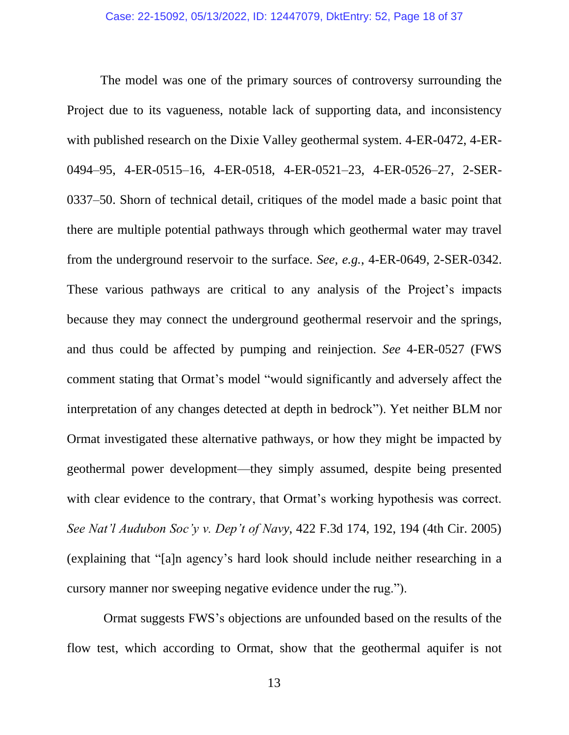The model was one of the primary sources of controversy surrounding the Project due to its vagueness, notable lack of supporting data, and inconsistency with published research on the Dixie Valley geothermal system. 4-ER-0472, 4-ER-0494–95, 4-ER-0515–16, 4-ER-0518, 4-ER-0521–23, 4-ER-0526–27, 2-SER-0337–50. Shorn of technical detail, critiques of the model made a basic point that there are multiple potential pathways through which geothermal water may travel from the underground reservoir to the surface. *See, e.g.*, 4-ER-0649, 2-SER-0342. These various pathways are critical to any analysis of the Project's impacts because they may connect the underground geothermal reservoir and the springs, and thus could be affected by pumping and reinjection. *See* 4-ER-0527 (FWS comment stating that Ormat's model "would significantly and adversely affect the interpretation of any changes detected at depth in bedrock"). Yet neither BLM nor Ormat investigated these alternative pathways, or how they might be impacted by geothermal power development—they simply assumed, despite being presented with clear evidence to the contrary, that Ormat's working hypothesis was correct. *See Nat'l Audubon Soc'y v. Dep't of Navy*, 422 F.3d 174, 192, 194 (4th Cir. 2005) (explaining that "[a]n agency's hard look should include neither researching in a cursory manner nor sweeping negative evidence under the rug.").

Ormat suggests FWS's objections are unfounded based on the results of the flow test, which according to Ormat, show that the geothermal aquifer is not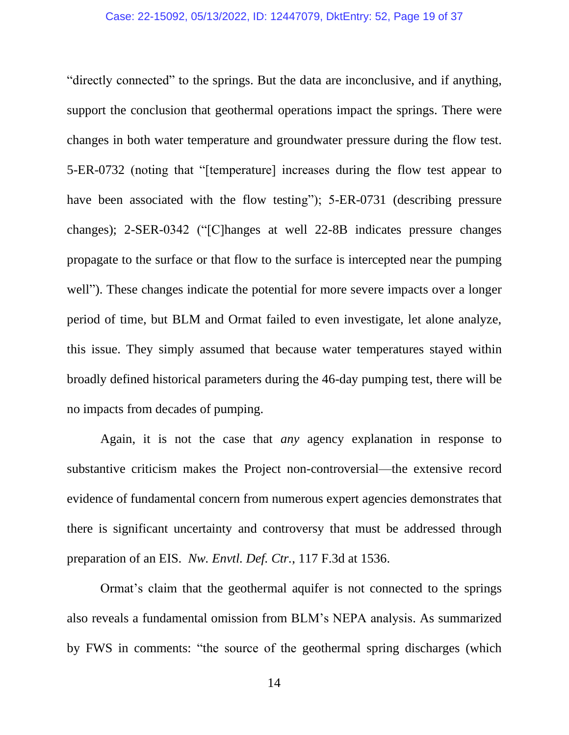"directly connected" to the springs. But the data are inconclusive, and if anything, support the conclusion that geothermal operations impact the springs. There were changes in both water temperature and groundwater pressure during the flow test. 5-ER-0732 (noting that "[temperature] increases during the flow test appear to have been associated with the flow testing"); 5-ER-0731 (describing pressure changes); 2-SER-0342 ("[C]hanges at well 22-8B indicates pressure changes propagate to the surface or that flow to the surface is intercepted near the pumping well"). These changes indicate the potential for more severe impacts over a longer period of time, but BLM and Ormat failed to even investigate, let alone analyze, this issue. They simply assumed that because water temperatures stayed within broadly defined historical parameters during the 46-day pumping test, there will be no impacts from decades of pumping.

Again, it is not the case that *any* agency explanation in response to substantive criticism makes the Project non-controversial—the extensive record evidence of fundamental concern from numerous expert agencies demonstrates that there is significant uncertainty and controversy that must be addressed through preparation of an EIS. *Nw. Envtl. Def. Ctr.*, 117 F.3d at 1536.

Ormat's claim that the geothermal aquifer is not connected to the springs also reveals a fundamental omission from BLM's NEPA analysis. As summarized by FWS in comments: "the source of the geothermal spring discharges (which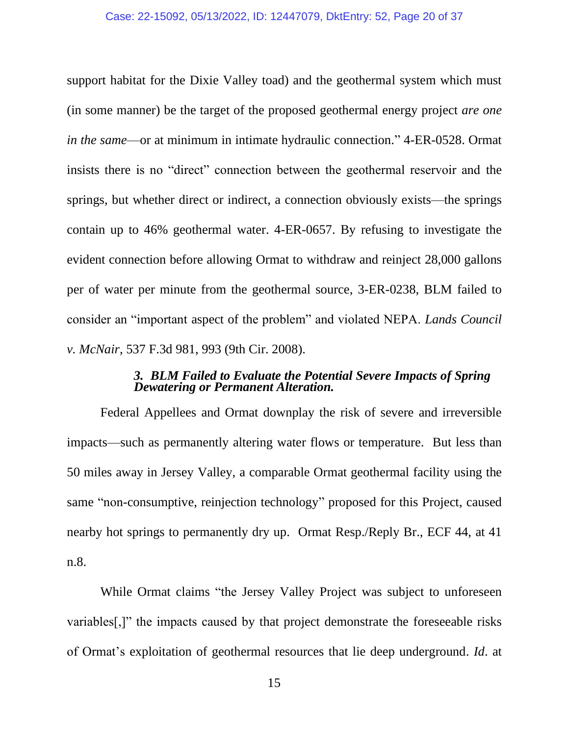support habitat for the Dixie Valley toad) and the geothermal system which must (in some manner) be the target of the proposed geothermal energy project *are one in the same*—or at minimum in intimate hydraulic connection." 4-ER-0528. Ormat insists there is no "direct" connection between the geothermal reservoir and the springs, but whether direct or indirect, a connection obviously exists—the springs contain up to 46% geothermal water. 4-ER-0657. By refusing to investigate the evident connection before allowing Ormat to withdraw and reinject 28,000 gallons per of water per minute from the geothermal source, 3-ER-0238, BLM failed to consider an "important aspect of the problem" and violated NEPA. *Lands Council v. McNair*, 537 F.3d 981, 993 (9th Cir. 2008).

#### *3. BLM Failed to Evaluate the Potential Severe Impacts of Spring Dewatering or Permanent Alteration.*

Federal Appellees and Ormat downplay the risk of severe and irreversible impacts—such as permanently altering water flows or temperature. But less than 50 miles away in Jersey Valley, a comparable Ormat geothermal facility using the same "non-consumptive, reinjection technology" proposed for this Project, caused nearby hot springs to permanently dry up. Ormat Resp./Reply Br., ECF 44, at 41 n.8.

While Ormat claims "the Jersey Valley Project was subject to unforeseen variables[,]" the impacts caused by that project demonstrate the foreseeable risks of Ormat's exploitation of geothermal resources that lie deep underground. *Id*. at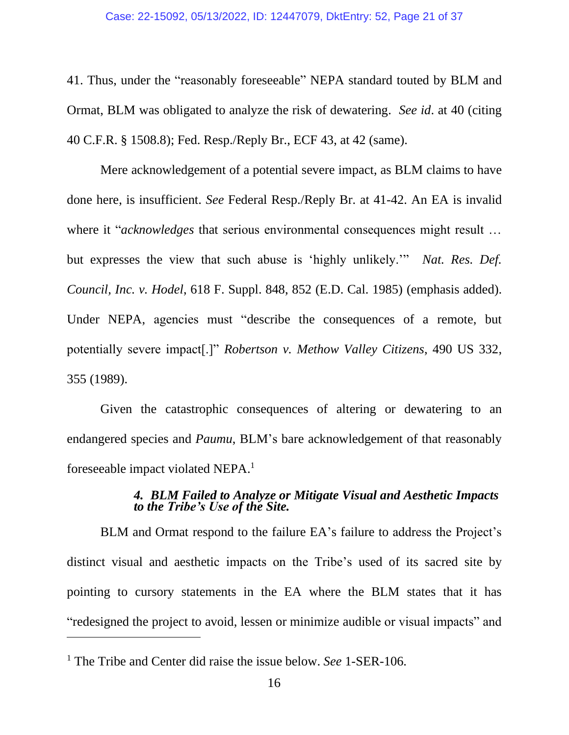41. Thus, under the "reasonably foreseeable" NEPA standard touted by BLM and Ormat, BLM was obligated to analyze the risk of dewatering. *See id*. at 40 (citing 40 C.F.R. § 1508.8); Fed. Resp./Reply Br., ECF 43, at 42 (same).

Mere acknowledgement of a potential severe impact, as BLM claims to have done here, is insufficient. *See* Federal Resp./Reply Br. at 41-42. An EA is invalid where it "*acknowledges* that serious environmental consequences might result … but expresses the view that such abuse is 'highly unlikely.'" *Nat. Res. Def. Council, Inc. v. Hodel*, 618 F. Suppl. 848, 852 (E.D. Cal. 1985) (emphasis added). Under NEPA, agencies must "describe the consequences of a remote, but potentially severe impact[.]" *Robertson v. Methow Valley Citizens*, 490 US 332, 355 (1989).

Given the catastrophic consequences of altering or dewatering to an endangered species and *Paumu*, BLM's bare acknowledgement of that reasonably foreseeable impact violated NEPA. 1

### *4. BLM Failed to Analyze or Mitigate Visual and Aesthetic Impacts to the Tribe's Use of the Site.*

BLM and Ormat respond to the failure EA's failure to address the Project's distinct visual and aesthetic impacts on the Tribe's used of its sacred site by pointing to cursory statements in the EA where the BLM states that it has "redesigned the project to avoid, lessen or minimize audible or visual impacts" and

<sup>1</sup> The Tribe and Center did raise the issue below. *See* 1-SER-106.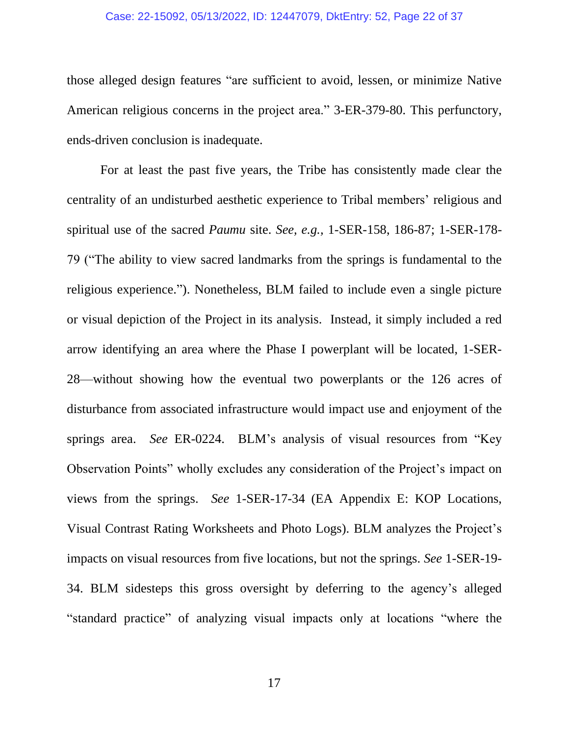#### Case: 22-15092, 05/13/2022, ID: 12447079, DktEntry: 52, Page 22 of 37

those alleged design features "are sufficient to avoid, lessen, or minimize Native American religious concerns in the project area." 3-ER-379-80. This perfunctory, ends-driven conclusion is inadequate.

For at least the past five years, the Tribe has consistently made clear the centrality of an undisturbed aesthetic experience to Tribal members' religious and spiritual use of the sacred *Paumu* site. *See, e.g.,* 1-SER-158, 186-87; 1-SER-178- 79 ("The ability to view sacred landmarks from the springs is fundamental to the religious experience."). Nonetheless, BLM failed to include even a single picture or visual depiction of the Project in its analysis. Instead, it simply included a red arrow identifying an area where the Phase I powerplant will be located, 1-SER-28—without showing how the eventual two powerplants or the 126 acres of disturbance from associated infrastructure would impact use and enjoyment of the springs area. *See* ER-0224. BLM's analysis of visual resources from "Key Observation Points" wholly excludes any consideration of the Project's impact on views from the springs. *See* 1-SER-17-34 (EA Appendix E: KOP Locations, Visual Contrast Rating Worksheets and Photo Logs). BLM analyzes the Project's impacts on visual resources from five locations, but not the springs. *See* 1-SER-19- 34. BLM sidesteps this gross oversight by deferring to the agency's alleged "standard practice" of analyzing visual impacts only at locations "where the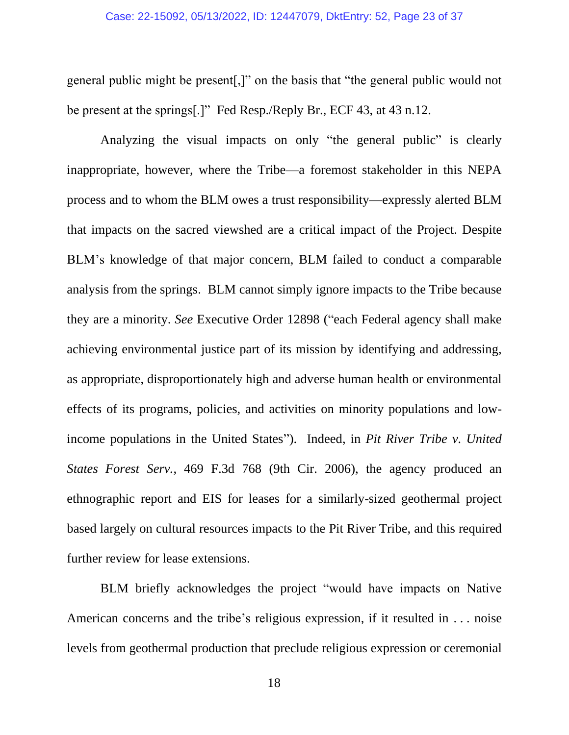#### Case: 22-15092, 05/13/2022, ID: 12447079, DktEntry: 52, Page 23 of 37

general public might be present[,]" on the basis that "the general public would not be present at the springs[.]" Fed Resp./Reply Br., ECF 43, at 43 n.12.

Analyzing the visual impacts on only "the general public" is clearly inappropriate, however, where the Tribe—a foremost stakeholder in this NEPA process and to whom the BLM owes a trust responsibility—expressly alerted BLM that impacts on the sacred viewshed are a critical impact of the Project. Despite BLM's knowledge of that major concern, BLM failed to conduct a comparable analysis from the springs. BLM cannot simply ignore impacts to the Tribe because they are a minority. *See* Executive Order 12898 ("each Federal agency shall make achieving environmental justice part of its mission by identifying and addressing, as appropriate, disproportionately high and adverse human health or environmental effects of its programs, policies, and activities on minority populations and lowincome populations in the United States"). Indeed, in *Pit River Tribe v. United States Forest Serv.*, 469 F.3d 768 (9th Cir. 2006), the agency produced an ethnographic report and EIS for leases for a similarly-sized geothermal project based largely on cultural resources impacts to the Pit River Tribe, and this required further review for lease extensions.

BLM briefly acknowledges the project "would have impacts on Native American concerns and the tribe's religious expression, if it resulted in . . . noise levels from geothermal production that preclude religious expression or ceremonial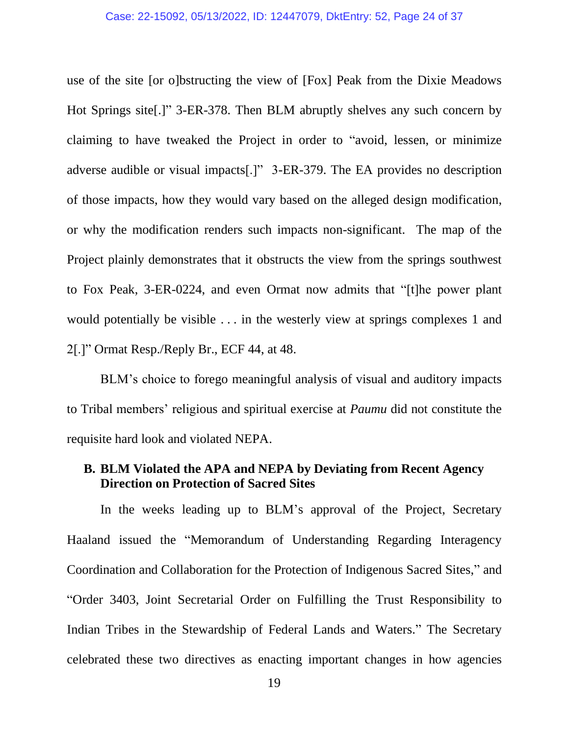use of the site [or o]bstructing the view of [Fox] Peak from the Dixie Meadows Hot Springs site[.]" 3-ER-378. Then BLM abruptly shelves any such concern by claiming to have tweaked the Project in order to "avoid, lessen, or minimize adverse audible or visual impacts[.]" 3-ER-379. The EA provides no description of those impacts, how they would vary based on the alleged design modification, or why the modification renders such impacts non-significant. The map of the Project plainly demonstrates that it obstructs the view from the springs southwest to Fox Peak, 3-ER-0224, and even Ormat now admits that "[t]he power plant would potentially be visible . . . in the westerly view at springs complexes 1 and 2[.]" Ormat Resp./Reply Br., ECF 44, at 48.

BLM's choice to forego meaningful analysis of visual and auditory impacts to Tribal members' religious and spiritual exercise at *Paumu* did not constitute the requisite hard look and violated NEPA.

### **B. BLM Violated the APA and NEPA by Deviating from Recent Agency Direction on Protection of Sacred Sites**

In the weeks leading up to BLM's approval of the Project, Secretary Haaland issued the "Memorandum of Understanding Regarding Interagency Coordination and Collaboration for the Protection of Indigenous Sacred Sites," and "Order 3403, Joint Secretarial Order on Fulfilling the Trust Responsibility to Indian Tribes in the Stewardship of Federal Lands and Waters." The Secretary celebrated these two directives as enacting important changes in how agencies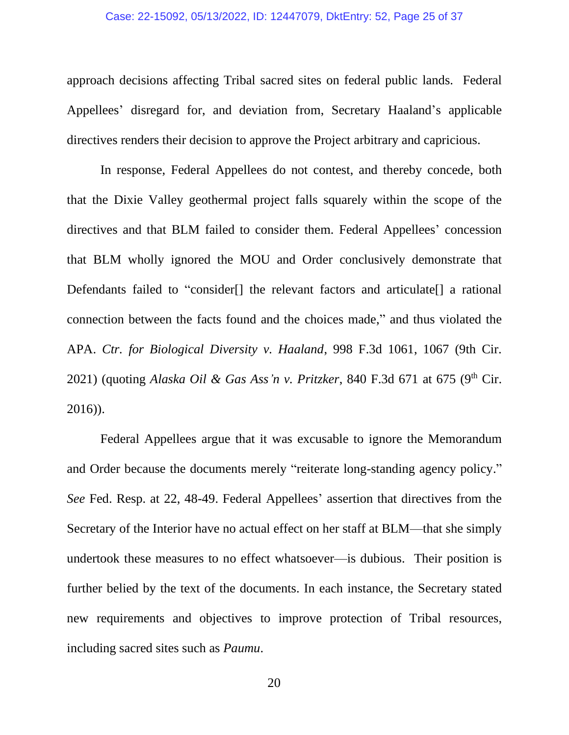#### Case: 22-15092, 05/13/2022, ID: 12447079, DktEntry: 52, Page 25 of 37

approach decisions affecting Tribal sacred sites on federal public lands. Federal Appellees' disregard for, and deviation from, Secretary Haaland's applicable directives renders their decision to approve the Project arbitrary and capricious.

In response, Federal Appellees do not contest, and thereby concede, both that the Dixie Valley geothermal project falls squarely within the scope of the directives and that BLM failed to consider them. Federal Appellees' concession that BLM wholly ignored the MOU and Order conclusively demonstrate that Defendants failed to "consider<sup>[]</sup> the relevant factors and articulate<sup>[]</sup> a rational connection between the facts found and the choices made," and thus violated the APA. *Ctr. for Biological Diversity v. Haaland*, 998 F.3d 1061, 1067 (9th Cir. 2021) (quoting *Alaska Oil & Gas Ass'n v. Pritzker*, 840 F.3d 671 at 675 (9<sup>th</sup> Cir. 2016)).

Federal Appellees argue that it was excusable to ignore the Memorandum and Order because the documents merely "reiterate long-standing agency policy." *See* Fed. Resp. at 22, 48-49. Federal Appellees' assertion that directives from the Secretary of the Interior have no actual effect on her staff at BLM—that she simply undertook these measures to no effect whatsoever—is dubious. Their position is further belied by the text of the documents. In each instance, the Secretary stated new requirements and objectives to improve protection of Tribal resources, including sacred sites such as *Paumu*.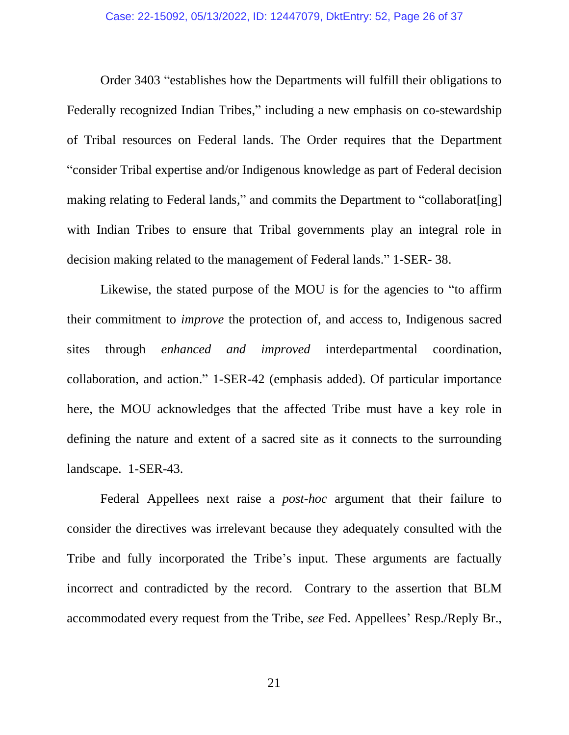Order 3403 "establishes how the Departments will fulfill their obligations to Federally recognized Indian Tribes," including a new emphasis on co-stewardship of Tribal resources on Federal lands. The Order requires that the Department "consider Tribal expertise and/or Indigenous knowledge as part of Federal decision making relating to Federal lands," and commits the Department to "collaborat[ing] with Indian Tribes to ensure that Tribal governments play an integral role in decision making related to the management of Federal lands." 1-SER- 38.

Likewise, the stated purpose of the MOU is for the agencies to "to affirm their commitment to *improve* the protection of, and access to, Indigenous sacred sites through *enhanced and improved* interdepartmental coordination, collaboration, and action." 1-SER-42 (emphasis added). Of particular importance here, the MOU acknowledges that the affected Tribe must have a key role in defining the nature and extent of a sacred site as it connects to the surrounding landscape. 1-SER-43.

Federal Appellees next raise a *post-hoc* argument that their failure to consider the directives was irrelevant because they adequately consulted with the Tribe and fully incorporated the Tribe's input. These arguments are factually incorrect and contradicted by the record. Contrary to the assertion that BLM accommodated every request from the Tribe, *see* Fed. Appellees' Resp./Reply Br.,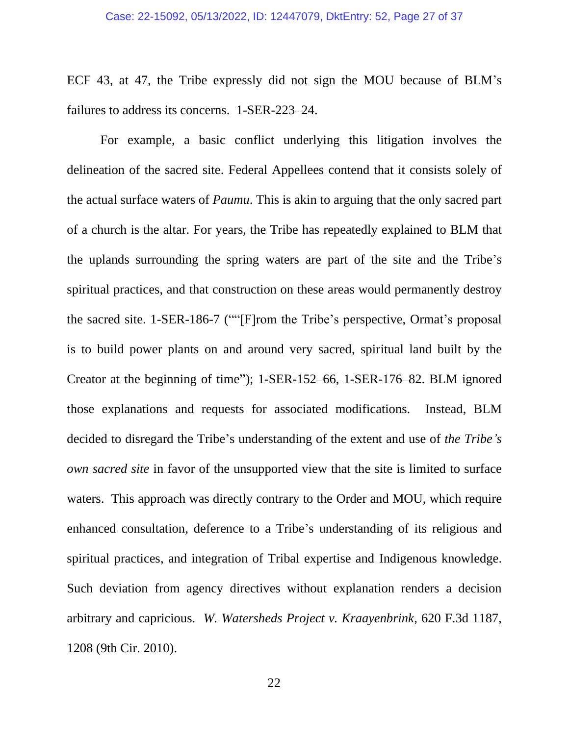ECF 43, at 47, the Tribe expressly did not sign the MOU because of BLM's failures to address its concerns. 1-SER-223–24.

For example, a basic conflict underlying this litigation involves the delineation of the sacred site. Federal Appellees contend that it consists solely of the actual surface waters of *Paumu*. This is akin to arguing that the only sacred part of a church is the altar. For years, the Tribe has repeatedly explained to BLM that the uplands surrounding the spring waters are part of the site and the Tribe's spiritual practices, and that construction on these areas would permanently destroy the sacred site. 1-SER-186-7 (""[F]rom the Tribe's perspective, Ormat's proposal is to build power plants on and around very sacred, spiritual land built by the Creator at the beginning of time"); 1-SER-152–66, 1-SER-176–82. BLM ignored those explanations and requests for associated modifications. Instead, BLM decided to disregard the Tribe's understanding of the extent and use of *the Tribe's own sacred site* in favor of the unsupported view that the site is limited to surface waters. This approach was directly contrary to the Order and MOU, which require enhanced consultation, deference to a Tribe's understanding of its religious and spiritual practices, and integration of Tribal expertise and Indigenous knowledge. Such deviation from agency directives without explanation renders a decision arbitrary and capricious. *W. Watersheds Project v. Kraayenbrink*, 620 F.3d 1187, 1208 (9th Cir. 2010).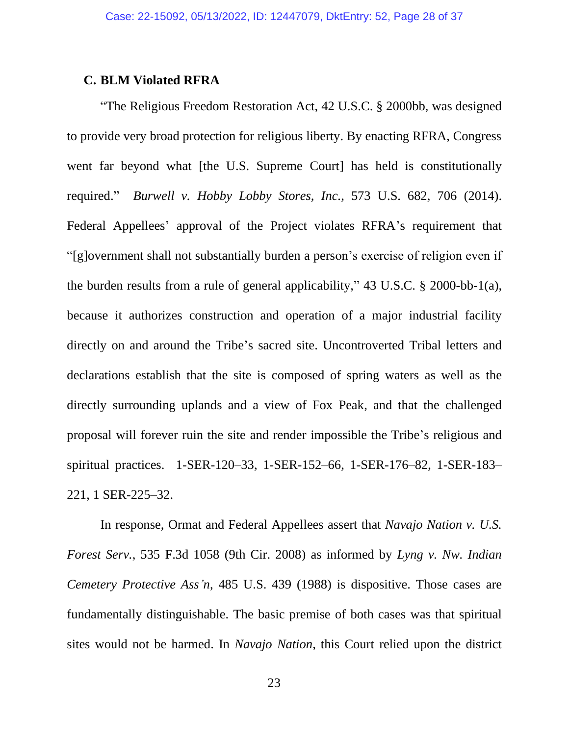### **C. BLM Violated RFRA**

"The Religious Freedom Restoration Act, 42 U.S.C. § 2000bb, was designed to provide very broad protection for religious liberty. By enacting RFRA, Congress went far beyond what [the U.S. Supreme Court] has held is constitutionally required." *Burwell v. Hobby Lobby Stores, Inc.*, 573 U.S. 682, 706 (2014). Federal Appellees' approval of the Project violates RFRA's requirement that "[g]overnment shall not substantially burden a person's exercise of religion even if the burden results from a rule of general applicability," 43 U.S.C. § 2000-bb-1(a), because it authorizes construction and operation of a major industrial facility directly on and around the Tribe's sacred site. Uncontroverted Tribal letters and declarations establish that the site is composed of spring waters as well as the directly surrounding uplands and a view of Fox Peak, and that the challenged proposal will forever ruin the site and render impossible the Tribe's religious and spiritual practices. 1-SER-120–33, 1-SER-152–66, 1-SER-176–82, 1-SER-183– 221, 1 SER-225–32.

In response, Ormat and Federal Appellees assert that *Navajo Nation v. U.S. Forest Serv.*, 535 F.3d 1058 (9th Cir. 2008) as informed by *Lyng v. Nw. Indian Cemetery Protective Ass'n*, 485 U.S. 439 (1988) is dispositive. Those cases are fundamentally distinguishable. The basic premise of both cases was that spiritual sites would not be harmed. In *Navajo Nation*, this Court relied upon the district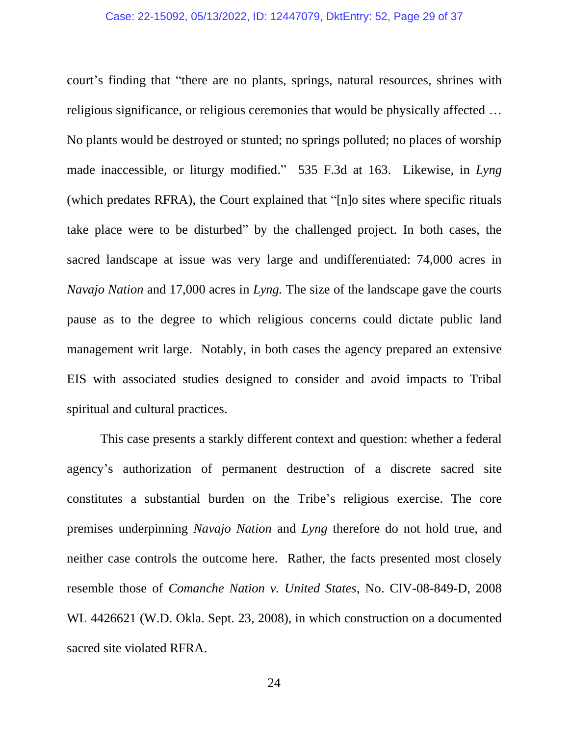#### Case: 22-15092, 05/13/2022, ID: 12447079, DktEntry: 52, Page 29 of 37

court's finding that "there are no plants, springs, natural resources, shrines with religious significance, or religious ceremonies that would be physically affected … No plants would be destroyed or stunted; no springs polluted; no places of worship made inaccessible, or liturgy modified." 535 F.3d at 163. Likewise, in *Lyng* (which predates RFRA), the Court explained that "[n]o sites where specific rituals take place were to be disturbed" by the challenged project. In both cases, the sacred landscape at issue was very large and undifferentiated: 74,000 acres in *Navajo Nation* and 17,000 acres in *Lyng.* The size of the landscape gave the courts pause as to the degree to which religious concerns could dictate public land management writ large. Notably, in both cases the agency prepared an extensive EIS with associated studies designed to consider and avoid impacts to Tribal spiritual and cultural practices.

This case presents a starkly different context and question: whether a federal agency's authorization of permanent destruction of a discrete sacred site constitutes a substantial burden on the Tribe's religious exercise. The core premises underpinning *Navajo Nation* and *Lyng* therefore do not hold true, and neither case controls the outcome here. Rather, the facts presented most closely resemble those of *Comanche Nation v. United States*, No. CIV-08-849-D, 2008 WL 4426621 (W.D. Okla. Sept. 23, 2008), in which construction on a documented sacred site violated RFRA.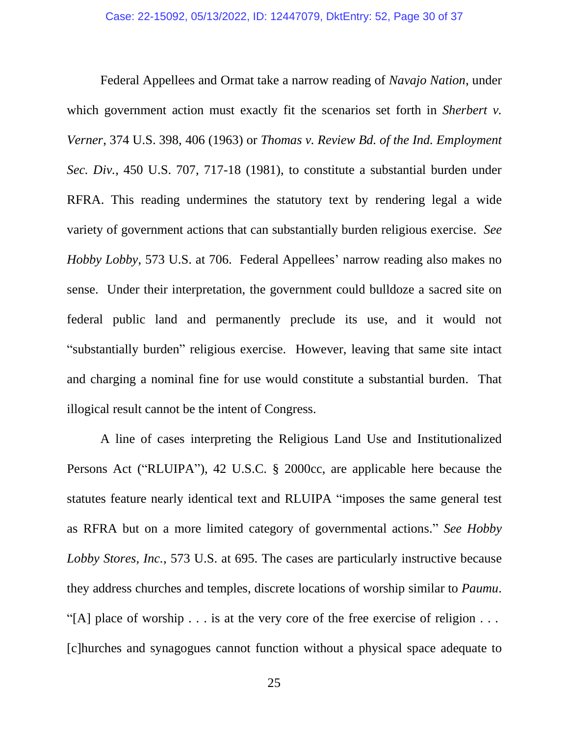Federal Appellees and Ormat take a narrow reading of *Navajo Nation*, under which government action must exactly fit the scenarios set forth in *Sherbert v*. *Verner*, 374 U.S. 398, 406 (1963) or *Thomas v. Review Bd. of the Ind. Employment Sec. Div.*, 450 U.S. 707, 717-18 (1981), to constitute a substantial burden under RFRA. This reading undermines the statutory text by rendering legal a wide variety of government actions that can substantially burden religious exercise. *See Hobby Lobby*, 573 U.S. at 706. Federal Appellees' narrow reading also makes no sense. Under their interpretation, the government could bulldoze a sacred site on federal public land and permanently preclude its use, and it would not "substantially burden" religious exercise. However, leaving that same site intact and charging a nominal fine for use would constitute a substantial burden. That illogical result cannot be the intent of Congress.

A line of cases interpreting the Religious Land Use and Institutionalized Persons Act ("RLUIPA"), 42 U.S.C. § 2000cc, are applicable here because the statutes feature nearly identical text and RLUIPA "imposes the same general test as RFRA but on a more limited category of governmental actions." *See Hobby Lobby Stores, Inc.*, 573 U.S. at 695. The cases are particularly instructive because they address churches and temples, discrete locations of worship similar to *Paumu*. "[A] place of worship . . . is at the very core of the free exercise of religion . . . [c]hurches and synagogues cannot function without a physical space adequate to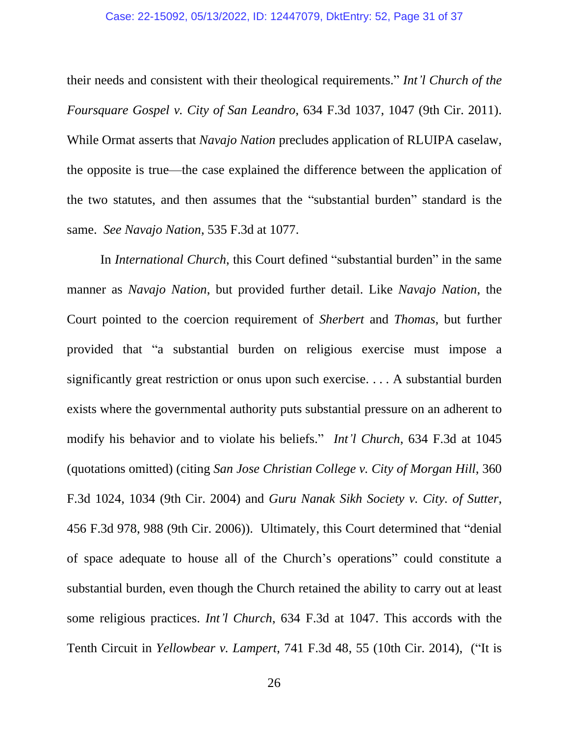their needs and consistent with their theological requirements." *Int'l Church of the Foursquare Gospel v. City of San Leandro*, 634 F.3d 1037, 1047 (9th Cir. 2011). While Ormat asserts that *Navajo Nation* precludes application of RLUIPA caselaw, the opposite is true—the case explained the difference between the application of the two statutes, and then assumes that the "substantial burden" standard is the same. *See Navajo Nation*, 535 F.3d at 1077.

In *International Church*, this Court defined "substantial burden" in the same manner as *Navajo Nation*, but provided further detail. Like *Navajo Nation*, the Court pointed to the coercion requirement of *Sherbert* and *Thomas*, but further provided that "a substantial burden on religious exercise must impose a significantly great restriction or onus upon such exercise. . . . A substantial burden exists where the governmental authority puts substantial pressure on an adherent to modify his behavior and to violate his beliefs." *Int'l Church*, 634 F.3d at 1045 (quotations omitted) (citing *San Jose Christian College v. City of Morgan Hill*, 360 F.3d 1024, 1034 (9th Cir. 2004) and *Guru Nanak Sikh Society v. City. of Sutter*, 456 F.3d 978, 988 (9th Cir. 2006)). Ultimately, this Court determined that "denial of space adequate to house all of the Church's operations" could constitute a substantial burden, even though the Church retained the ability to carry out at least some religious practices. *Int'l Church*, 634 F.3d at 1047. This accords with the Tenth Circuit in *Yellowbear v. Lampert*, 741 F.3d 48, 55 (10th Cir. 2014), ("It is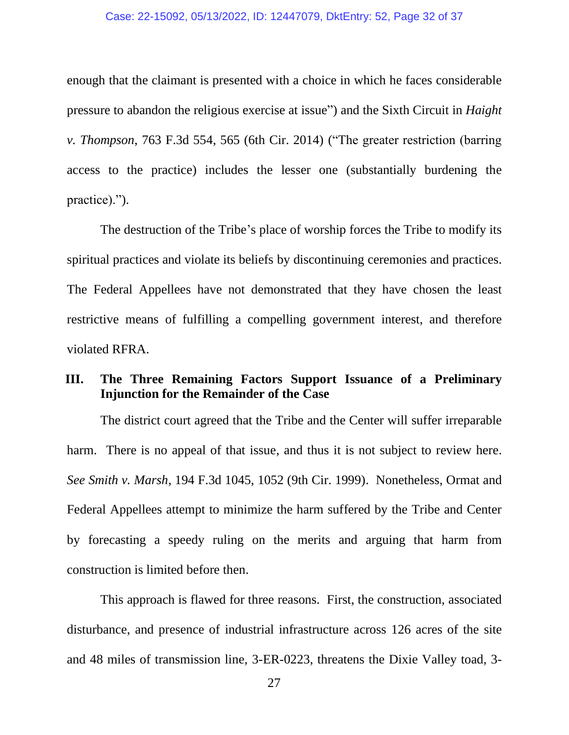#### Case: 22-15092, 05/13/2022, ID: 12447079, DktEntry: 52, Page 32 of 37

enough that the claimant is presented with a choice in which he faces considerable pressure to abandon the religious exercise at issue") and the Sixth Circuit in *Haight v. Thompson*, 763 F.3d 554, 565 (6th Cir. 2014) ("The greater restriction (barring access to the practice) includes the lesser one (substantially burdening the practice).").

The destruction of the Tribe's place of worship forces the Tribe to modify its spiritual practices and violate its beliefs by discontinuing ceremonies and practices. The Federal Appellees have not demonstrated that they have chosen the least restrictive means of fulfilling a compelling government interest, and therefore violated RFRA.

### **III. The Three Remaining Factors Support Issuance of a Preliminary Injunction for the Remainder of the Case**

The district court agreed that the Tribe and the Center will suffer irreparable harm. There is no appeal of that issue, and thus it is not subject to review here. *See Smith v. Marsh*, 194 F.3d 1045, 1052 (9th Cir. 1999). Nonetheless, Ormat and Federal Appellees attempt to minimize the harm suffered by the Tribe and Center by forecasting a speedy ruling on the merits and arguing that harm from construction is limited before then.

This approach is flawed for three reasons. First, the construction, associated disturbance, and presence of industrial infrastructure across 126 acres of the site and 48 miles of transmission line, 3-ER-0223, threatens the Dixie Valley toad, 3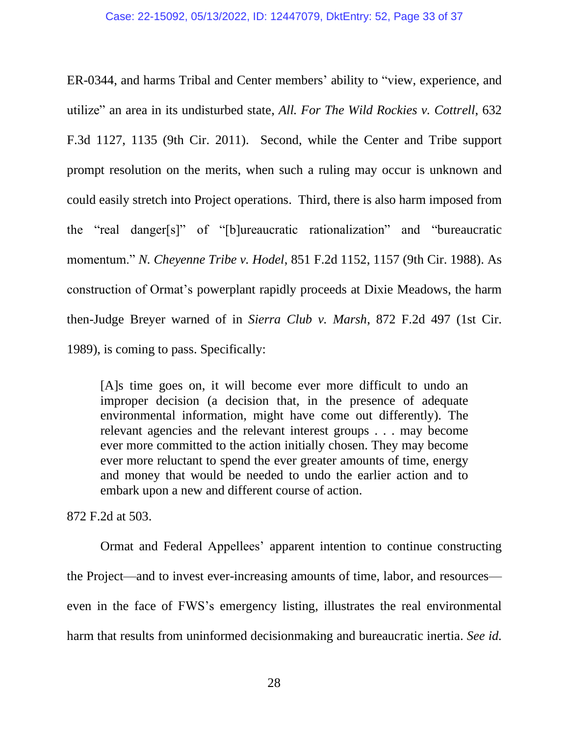ER-0344, and harms Tribal and Center members' ability to "view, experience, and utilize" an area in its undisturbed state, *All. For The Wild Rockies v. Cottrell*, 632 F.3d 1127, 1135 (9th Cir. 2011). Second, while the Center and Tribe support prompt resolution on the merits, when such a ruling may occur is unknown and could easily stretch into Project operations. Third, there is also harm imposed from the "real danger[s]" of "[b]ureaucratic rationalization" and "bureaucratic momentum." *N. Cheyenne Tribe v. Hodel*, 851 F.2d 1152, 1157 (9th Cir. 1988). As construction of Ormat's powerplant rapidly proceeds at Dixie Meadows, the harm then-Judge Breyer warned of in *Sierra Club v. Marsh*, 872 F.2d 497 (1st Cir. 1989), is coming to pass. Specifically:

[A]s time goes on, it will become ever more difficult to undo an improper decision (a decision that, in the presence of adequate environmental information, might have come out differently). The relevant agencies and the relevant interest groups . . . may become ever more committed to the action initially chosen. They may become ever more reluctant to spend the ever greater amounts of time, energy and money that would be needed to undo the earlier action and to embark upon a new and different course of action.

872 F.2d at 503.

Ormat and Federal Appellees' apparent intention to continue constructing the Project—and to invest ever-increasing amounts of time, labor, and resources even in the face of FWS's emergency listing, illustrates the real environmental harm that results from uninformed decisionmaking and bureaucratic inertia. *See id.*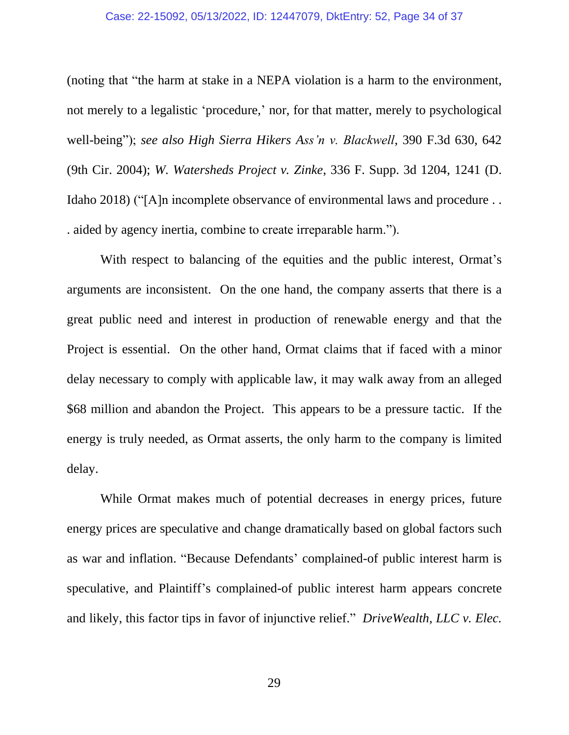#### Case: 22-15092, 05/13/2022, ID: 12447079, DktEntry: 52, Page 34 of 37

(noting that "the harm at stake in a NEPA violation is a harm to the environment, not merely to a legalistic 'procedure,' nor, for that matter, merely to psychological well-being"); *see also High Sierra Hikers Ass'n v. Blackwell*, 390 F.3d 630, 642 (9th Cir. 2004); *W. Watersheds Project v. Zinke*, 336 F. Supp. 3d 1204, 1241 (D. Idaho 2018) ("[A]n incomplete observance of environmental laws and procedure . . . aided by agency inertia, combine to create irreparable harm.").

With respect to balancing of the equities and the public interest, Ormat's arguments are inconsistent. On the one hand, the company asserts that there is a great public need and interest in production of renewable energy and that the Project is essential. On the other hand, Ormat claims that if faced with a minor delay necessary to comply with applicable law, it may walk away from an alleged \$68 million and abandon the Project. This appears to be a pressure tactic. If the energy is truly needed, as Ormat asserts, the only harm to the company is limited delay.

While Ormat makes much of potential decreases in energy prices, future energy prices are speculative and change dramatically based on global factors such as war and inflation. "Because Defendants' complained-of public interest harm is speculative, and Plaintiff's complained-of public interest harm appears concrete and likely, this factor tips in favor of injunctive relief." *DriveWealth, LLC v. Elec.*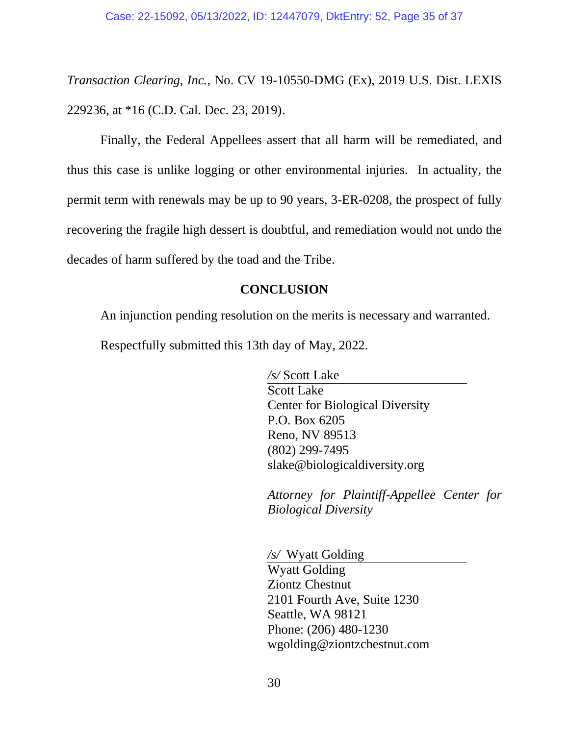*Transaction Clearing, Inc.*, No. CV 19-10550-DMG (Ex), 2019 U.S. Dist. LEXIS 229236, at \*16 (C.D. Cal. Dec. 23, 2019).

Finally, the Federal Appellees assert that all harm will be remediated, and thus this case is unlike logging or other environmental injuries. In actuality, the permit term with renewals may be up to 90 years, 3-ER-0208, the prospect of fully recovering the fragile high dessert is doubtful, and remediation would not undo the decades of harm suffered by the toad and the Tribe.

## **CONCLUSION**

An injunction pending resolution on the merits is necessary and warranted. Respectfully submitted this 13th day of May, 2022.

> */s/* Scott Lake Scott Lake Center for Biological Diversity P.O. Box 6205 Reno, NV 89513 (802) 299-7495 slake@biologicaldiversity.org

*Attorney for Plaintiff-Appellee Center for Biological Diversity*

*/s/* Wyatt Golding Wyatt Golding Ziontz Chestnut 2101 Fourth Ave, Suite 1230 Seattle, WA 98121 Phone: (206) 480-1230 wgolding@ziontzchestnut.com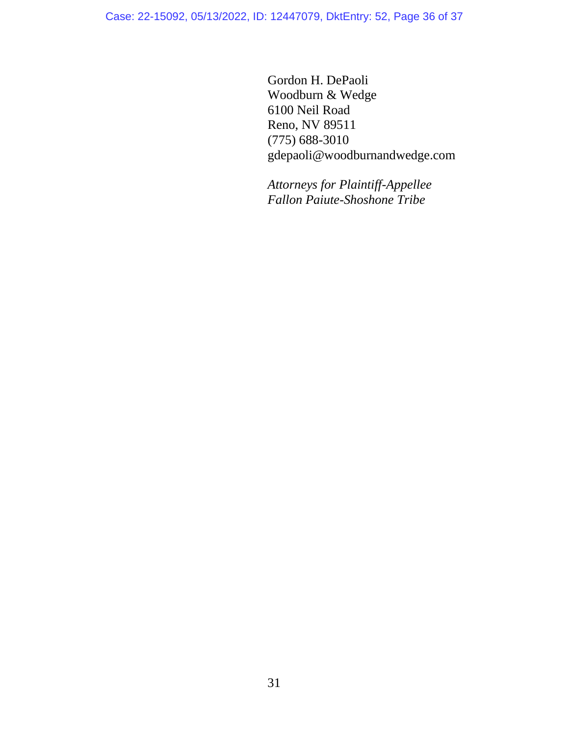Case: 22-15092, 05/13/2022, ID: 12447079, DktEntry: 52, Page 36 of 37

Gordon H. DePaoli Woodburn & Wedge 6100 Neil Road Reno, NV 89511 (775) 688-3010 gdepaoli@woodburnandwedge.com

*Attorneys for Plaintiff-Appellee Fallon Paiute-Shoshone Tribe*